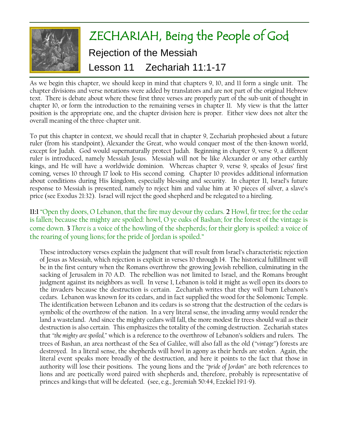

As we begin this chapter, we should keep in mind that chapters 9, 10, and 11 form a single unit. The chapter divisions and verse notations were added by translators and are not part of the original Hebrew text. There is debate about where these first three verses are properly part of the sub-unit of thought in chapter 10, or form the introduction to the remaining verses in chapter 11. My view is that the latter position is the appropriate one, and the chapter division here is proper. Either view does not alter the overall meaning of the three-chapter unit.

To put this chapter in context, we should recall that in chapter 9, Zechariah prophesied about a future ruler (from his standpoint), Alexander the Great, who would conquer most of the then-known world, except for Judah. God would supernaturally protect Judah. Beginning in chapter 9, verse 9, a different ruler is introduced, namely Messiah Jesus. Messiah will not be like Alexander or any other earthly kings, and He will have a worldwide dominion. Whereas chapter 9, verse 9, speaks of Jesus' first coming, verses 10 through 17 look to His second coming. Chapter 10 provides additional information about conditions during His kingdom, especially blessing and security. In chapter 11, Israel's future response to Messiah is presented, namely to reject him and value him at 30 pieces of silver, a slave's price (see Exodus 21:32). Israel will reject the good shepherd and be relegated to a hireling.

**11:1** "Open thy doors, O Lebanon, that the fire may devour thy cedars. **2** Howl, fir tree; for the cedar is fallen; because the mighty are spoiled: howl, O ye oaks of Bashan; for the forest of the vintage is come down. **3** *There is* a voice of the howling of the shepherds; for their glory is spoiled: a voice of the roaring of young lions; for the pride of Jordan is spoiled."

These introductory verses explain the judgment that will result from Israel's characteristic rejection of Jesus as Messiah, which rejection is explicit in verses 10 through 14. The historical fulfillment will be in the first century when the Romans overthrow the growing Jewish rebellion, culminating in the sacking of Jerusalem in 70 A.D. The rebellion was not limited to Israel, and the Romans brought judgment against its neighbors as well. In verse 1, Lebanon is told it might as well open its doors to the invaders because the destruction is certain. Zechariah writes that they will burn Lebanon's cedars. Lebanon was known for its cedars, and in fact supplied the wood for the Solomonic Temple. The identification between Lebanon and its cedars is so strong that the destruction of the cedars is symbolic of the overthrow of the nation. In a very literal sense, the invading army would render the land a wasteland. And since the mighty cedars will fall, the more modest fir trees should wail as their destruction is also certain. This emphasizes the totality of the coming destruction. Zechariah states that *"the mighty are spoiled,"* which is a reference to the overthrow of Lebanon's soldiers and rulers. The trees of Bashan, an area northeast of the Sea of Galilee, will also fall as the old (*"vintage"*) forests are destroyed. In a literal sense, the shepherds will howl in agony as their herds are stolen. Again, the literal event speaks more broadly of the destruction, and here it points to the fact that those in authority will lose their positions. The young lions and the *"pride of Jordan"* are both references to lions and are poetically word paired with shepherds and, therefore, probably is representative of princes and kings that will be defeated. (see, e.g., Jeremiah 50:44, Ezekiel 19:1-9).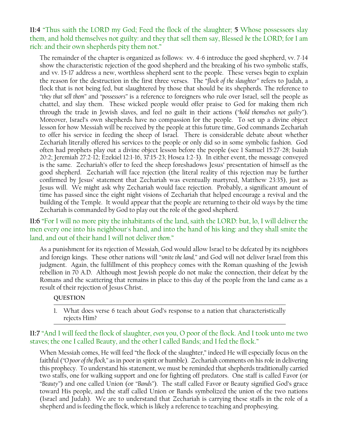**11:4** "Thus saith the LORD my God; Feed the flock of the slaughter; **5** Whose possessors slay them, and hold themselves not guilty: and they that sell them say, Blessed *be* the LORD; for I am rich: and their own shepherds pity them not."

The remainder of the chapter is organized as follows: vv. 4-6 introduce the good shepherd, vv. 7-14 show the characteristic rejection of the good shepherd and the breaking of his two symbolic staffs, and vv. 15-17 address a new, worthless shepherd sent to the people. These verses begin to explain the reason for the destruction in the first three verses. The "*flock of the slaughter"* refers to Judah, a flock that is not being fed, but slaughtered by those that should be its shepherds. The reference to *"they that sell them"* and *"possessors"* is a reference to foreigners who rule over Israel, sell the people as chattel, and slay them. These wicked people would offer praise to God for making them rich through the trade in Jewish slaves, and feel no guilt in their actions (*"hold themselves not guilty"*). Moreover, Israel's own shepherds have no compassion for the people. To set up a divine object lesson for how Messiah will be received by the people at this future time, God commands Zechariah to offer his service in feeding the sheep of Israel. There is considerable debate about whether Zechariah literally offered his services to the people or only did so in some symbolic fashion. God often had prophets play out a divine object lesson before the people (see 1 Samuel 15:27-28; Isaiah 20:2; Jeremiah 27:2-12; Ezekiel 12:1-16, 37:15-23; Hosea 1:2-3). In either event, the message conveyed is the same. Zechariah's offer to feed the sheep foreshadows Jesus' presentation of himself as the good shepherd. Zechariah will face rejection (the literal reality of this rejection may be further confirmed by Jesus' statement that Zechariah was eventually martyred, Matthew 23:35), just as Jesus will. We might ask why Zechariah would face rejection. Probably, a significant amount of time has passed since the eight night visions of Zechariah that helped encourage a revival and the building of the Temple. It would appear that the people are returning to their old ways by the time Zechariah is commanded by God to play out the role of the good shepherd.

**11:6** "For I will no more pity the inhabitants of the land, saith the LORD: but, lo, I will deliver the men every one into his neighbour's hand, and into the hand of his king: and they shall smite the land, and out of their hand I will not deliver *them*."

As a punishment for its rejection of Messiah, God would allow Israel to be defeated by its neighbors and foreign kings. These other nations will *"smite the land,"* and God will not deliver Israel from this judgment. Again, the fulfillment of this prophecy comes with the Roman quashing of the Jewish rebellion in 70 A.D. Although most Jewish people do not make the connection, their defeat by the Romans and the scattering that remains in place to this day of the people from the land came as a result of their rejection of Jesus Christ.

#### **QUESTION**

1. What does verse 6 teach about God's response to a nation that characteristically rejects Him?

# **11:7** "And I will feed the flock of slaughter, *even* you, O poor of the flock. And I took unto me two staves; the one I called Beauty, and the other I called Bands; and I fed the flock."

When Messiah comes, He will feed "the flock of the slaughter," indeed He will especially focus on the faithful (*"O poor of the flock,"* as in poor in spirit or humble). Zechariah comments on his role in delivering this prophecy. To understand his statement, we must be reminded that shepherds traditionally carried two staffs, one for walking support and one for fighting off predators. One staff is called Favor (or *"Beauty"*) and one called Union (or *"Bands"*). The staff called Favor or Beauty signified God's grace toward His people, and the staff called Union or Bands symbolized the union of the two nations (Israel and Judah). We are to understand that Zechariah is carrying these staffs in the role of a shepherd and is feeding the flock, which is likely a reference to teaching and prophesying.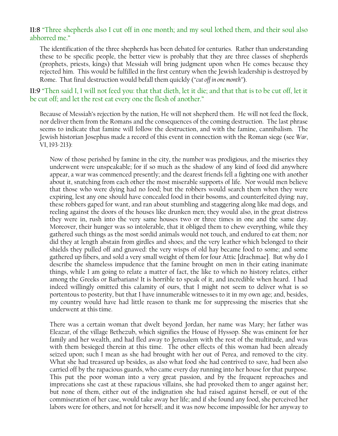## **11:8** "Three shepherds also I cut off in one month; and my soul lothed them, and their soul also abhorred me."

The identification of the three shepherds has been debated for centuries. Rather than understanding these to be specific people, the better view is probably that they are three classes of shepherds (prophets, priests, kings) that Messiah will bring judgment upon when He comes because they rejected him. This would be fulfilled in the first century when the Jewish leadership is destroyed by Rome. That final destruction would befall them quickly (*"cut off in one month"*).

**11:9** "Then said I, I will not feed you: that that dieth, let it die; and that that is to be cut off, let it be cut off; and let the rest eat every one the flesh of another."

Because of Messiah's rejection by the nation, He will not shepherd them. He will not feed the flock, nor deliver them from the Romans and the consequences of the coming destruction. The last phrase seems to indicate that famine will follow the destruction, and with the famine, cannibalism. The Jewish historian Josephus made a record of this event in connection with the Roman siege (see *War*, VI, 193-213):

Now of those perished by famine in the city, the number was prodigious, and the miseries they underwent were unspeakable; for if so much as the shadow of any kind of food did anywhere appear, a war was commenced presently; and the dearest friends fell a fighting one with another about it, snatching from each other the most miserable supports of life. Nor would men believe that those who were dying had no food; but the robbers would search them when they were expiring, lest any one should have concealed food in their bosoms, and counterfeited dying: nay, these robbers gaped for want, and ran about stumbling and staggering along like mad dogs, and reeling against the doors of the houses like drunken men; they would also, in the great distress they were in, rush into the very same houses two or three times in one and the same day. Moreover, their hunger was so intolerable, that it obliged them to chew everything, while they gathered such things as the most sordid animals would not touch, and endured to eat them; nor did they at length abstain from girdles and shoes; and the very leather which belonged to their shields they pulled off and gnawed: the very wisps of old hay became food to some; and some gathered up fibers, and sold a very small weight of them for four Attic [drachmae]. But why do I describe the shameless impudence that the famine brought on men in their eating inanimate things, while I am going to relate a matter of fact, the like to which no history relates, either among the Greeks or Barbarians! It is horrible to speak of it, and incredible when heard. I had indeed willingly omitted this calamity of ours, that I might not seem to deliver what is so portentous to posterity, but that I have innumerable witnesses to it in my own age; and, besides, my country would have had little reason to thank me for suppressing the miseries that she underwent at this time.

There was a certain woman that dwelt beyond Jordan, her name was Mary; her father was Eleazar, of the village Bethezub, which signifies the House of Hyssop. She was eminent for her family and her wealth, and had fled away to Jerusalem with the rest of the multitude, and was with them besieged therein at this time. The other effects of this woman had been already seized upon; such I mean as she had brought with her out of Perea, and removed to the city. What she had treasured up besides, as also what food she had contrived to save, had been also carried off by the rapacious guards, who came every day running into her house for that purpose. This put the poor woman into a very great passion, and by the frequent reproaches and imprecations she cast at these rapacious villains, she had provoked them to anger against her; but none of them, either out of the indignation she had raised against herself, or out of the commiseration of her case, would take away her life; and if she found any food, she perceived her labors were for others, and not for herself; and it was now become impossible for her anyway to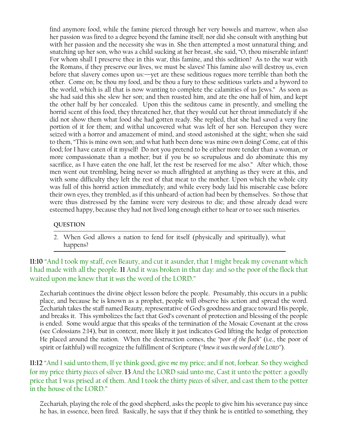find anymore food, while the famine pierced through her very bowels and marrow, when also her passion was fired to a degree beyond the famine itself; nor did she consult with anything but with her passion and the necessity she was in. She then attempted a most unnatural thing; and snatching up her son, who was a child sucking at her breast, she said, "O, thou miserable infant! For whom shall I preserve thee in this war, this famine, and this sedition? As to the war with the Romans, if they preserve our lives, we must be slaves! This famine also will destroy us, even before that slavery comes upon us:—yet are these seditious rogues more terrible than both the other. Come on; be thou my food, and be thou a fury to these seditious varlets and a byword to the world, which is all that is now wanting to complete the calamities of us Jews." As soon as she had said this she slew her son; and then roasted him, and ate the one half of him, and kept the other half by her concealed. Upon this the seditous came in presently, and smelling the horrid scent of this food, they threatened her, that they would cut her throat immediately if she did not show them what food she had gotten ready. She replied, that she had saved a very fine portion of it for them; and withal uncovered what was left of her son. Hereupon they were seized with a horror and amazement of mind, and stood astonished at the sight; when she said to them, "This is mine own son; and what hath been done was mine own doing! Come, eat of this food; for I have eaten of it myself! Do not you pretend to be either more tender than a woman, or more compassionate than a mother; but if you be so scrupulous and do abominate this my sacrifice, as I have eaten the one half, let the rest be reserved for me also." After which, those men went out trembling, being never so much affrighted at anything as they were at this, and with some difficulty they left the rest of that meat to the mother. Upon which the whole city was full of this horrid action immediately; and while every body laid his miserable case before their own eyes, they trembled, as if this unheard-of action had been by themselves. So those that were thus distressed by the famine were very desirous to die; and those already dead were esteemed happy, because they had not lived long enough either to hear or to see such miseries.

#### **QUESTION**

2. When God allows a nation to fend for itself (physically and spiritually), what happens?

**11:10** "And I took my staff, *even* Beauty, and cut it asunder, that I might break my covenant which I had made with all the people. **11** And it was broken in that day: and so the poor of the flock that waited upon me knew that it *was* the word of the LORD."

Zechariah continues the divine object lesson before the people. Presumably, this occurs in a public place, and because he is known as a prophet, people will observe his action and spread the word. Zechariah takes the staff named Beauty, representative of God's goodness and grace toward His people, and breaks it. This symbolizes the fact that God's covenant of protection and blessing of the people is ended. Some would argue that this speaks of the termination of the Mosaic Covenant at the cross (see Colossians 2:14), but in context, more likely it just indicates God lifting the hedge of protection He placed around the nation. When the destruction comes, the *"poor of the flock"* (i.e., the poor of spirit or faithful) will recognize the fulfillment of Scripture (*"knew it was the word of the LORD"*).

**11:12** "And I said unto them, If ye think good, give *me* my price; and if not, forbear. So they weighed for my price thirty *pieces* of silver. **13** And the LORD said unto me, Cast it unto the potter: a goodly price that I was prised at of them. And I took the thirty *pieces* of silver, and cast them to the potter in the house of the LORD."

Zechariah, playing the role of the good shepherd, asks the people to give him his severance pay since he has, in essence, been fired. Basically, he says that if they think he is entitled to something, they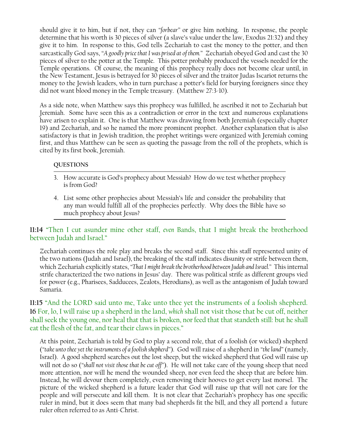should give it to him, but if not, they can *"forbear"* or give him nothing. In response, the people determine that his worth is 30 pieces of silver (a slave's value under the law, Exodus 21:32) and they give it to him. In response to this, God tells Zechariah to cast the money to the potter, and then sarcastically God says, *"A goodly price that I was prised at of them."* Zechariah obeyed God and cast the 30 pieces of silver to the potter at the Temple. This potter probably produced the vessels needed for the Temple operations. Of course, the meaning of this prophecy really does not become clear until, in the New Testament, Jesus is betrayed for 30 pieces of silver and the traitor Judas Iscariot returns the money to the Jewish leaders, who in turn purchase a potter's field for burying foreigners since they did not want blood money in the Temple treasury. (Matthew 27:3-10).

As a side note, when Matthew says this prophecy was fulfilled, he ascribed it not to Zechariah but Jeremiah. Some have seen this as a contradiction or error in the text and numerous explanations have arisen to explain it. One is that Matthew was drawing from both Jeremiah (especially chapter 19) and Zechariah, and so he named the more prominent prophet. Another explanation that is also satisfactory is that in Jewish tradition, the prophet writings were organized with Jeremiah coming first, and thus Matthew can be seen as quoting the passage from the roll of the prophets, which is cited by its first book, Jeremiah.

## **QUESTIONS**

- 3. How accurate is God's prophecy about Messiah? How do we test whether prophecy is from God?
- 4. List some other prophecies about Messiah's life and consider the probability that any man would fulfill all of the prophecies perfectly. Why does the Bible have so much prophecy about Jesus?

# **11:14** "Then I cut asunder mine other staff, *even* Bands, that I might break the brotherhood between Judah and Israel."

Zechariah continues the role play and breaks the second staff. Since this staff represented unity of the two nations (Judah and Israel), the breaking of the staff indicates disunity or strife between them, which Zechariah explicitly states, *"That I might break the brotherhood between Judah and Israel."* This internal strife characterized the two nations in Jesus' day. There was political strife as different groups vied for power (e.g., Pharisees, Sadducees, Zealots, Herodians), as well as the antagonism of Judah toward Samaria.

**11:15** "And the LORD said unto me, Take unto thee yet the instruments of a foolish shepherd. **16** For, lo, I will raise up a shepherd in the land, *which* shall not visit those that be cut off, neither shall seek the young one, nor heal that that is broken, nor feed that that standeth still: but he shall eat the flesh of the fat, and tear their claws in pieces."

At this point, Zechariah is told by God to play a second role, that of a foolish (or wicked) shepherd (*"take unto thee yet the instruments of a foolish shepherd"*). God will raise of a shepherd in *"the land"* (namely, Israel). A good shepherd searches out the lost sheep, but the wicked shepherd that God will raise up will not do so (*"shall not visit those that be cut off"*). He will not take care of the young sheep that need more attention, nor will he mend the wounded sheep, nor even feed the sheep that are before him. Instead, he will devour them completely, even removing their hooves to get every last morsel. The picture of the wicked shepherd is a future leader that God will raise up that will not care for the people and will persecute and kill them. It is not clear that Zechariah's prophecy has one specific ruler in mind, but it does seem that many bad shepherds fit the bill, and they all portend a future ruler often referred to as Anti-Christ.